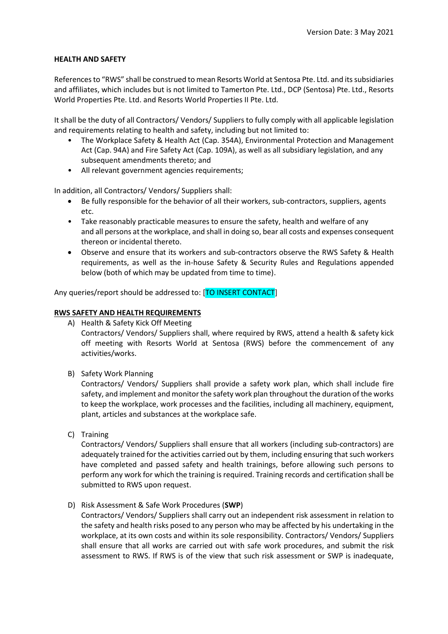### **HEALTH AND SAFETY**

References to "RWS" shall be construed to mean Resorts World at Sentosa Pte. Ltd. and its subsidiaries and affiliates, which includes but is not limited to Tamerton Pte. Ltd., DCP (Sentosa) Pte. Ltd., Resorts World Properties Pte. Ltd. and Resorts World Properties II Pte. Ltd.

It shall be the duty of all Contractors/ Vendors/ Suppliers to fully comply with all applicable legislation and requirements relating to health and safety, including but not limited to:

- The Workplace Safety & Health Act (Cap. 354A), Environmental Protection and Management Act (Cap. 94A) and Fire Safety Act (Cap. 109A), as well as all subsidiary legislation, and any subsequent amendments thereto; and
- All relevant government agencies requirements;

In addition, all Contractors/ Vendors/ Suppliers shall:

- Be fully responsible for the behavior of all their workers, sub-contractors, suppliers, agents etc.
- Take reasonably practicable measures to ensure the safety, health and welfare of any and all persons at the workplace, and shall in doing so, bear all costs and expenses consequent thereon or incidental thereto.
- Observe and ensure that its workers and sub-contractors observe the RWS Safety & Health requirements, as well as the in-house Safety & Security Rules and Regulations appended below (both of which may be updated from time to time).

Any queries/report should be addressed to: [TO INSERT CONTACT]

# **RWS SAFETY AND HEALTH REQUIREMENTS**

A) Health & Safety Kick Off Meeting

Contractors/ Vendors/ Suppliers shall, where required by RWS, attend a health & safety kick off meeting with Resorts World at Sentosa (RWS) before the commencement of any activities/works.

B) Safety Work Planning

Contractors/ Vendors/ Suppliers shall provide a safety work plan, which shall include fire safety, and implement and monitor the safety work plan throughout the duration of the works to keep the workplace, work processes and the facilities, including all machinery, equipment, plant, articles and substances at the workplace safe.

C) Training

Contractors/ Vendors/ Suppliers shall ensure that all workers (including sub-contractors) are adequately trained for the activities carried out by them, including ensuring that such workers have completed and passed safety and health trainings, before allowing such persons to perform any work for which the training is required. Training records and certification shall be submitted to RWS upon request.

D) Risk Assessment & Safe Work Procedures (**SWP**)

Contractors/ Vendors/ Suppliers shall carry out an independent risk assessment in relation to the safety and health risks posed to any person who may be affected by his undertaking in the workplace, at its own costs and within its sole responsibility. Contractors/ Vendors/ Suppliers shall ensure that all works are carried out with safe work procedures, and submit the risk assessment to RWS. If RWS is of the view that such risk assessment or SWP is inadequate,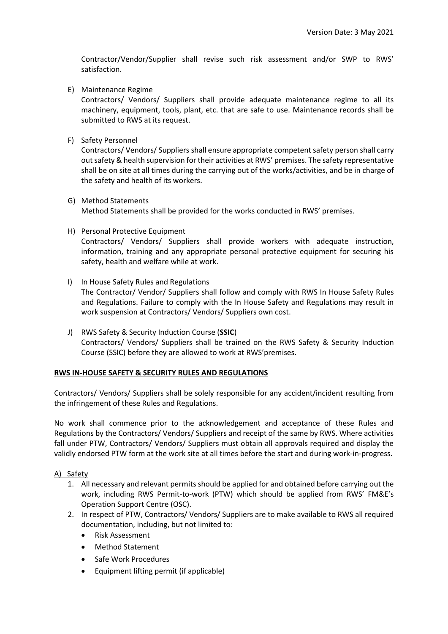Contractor/Vendor/Supplier shall revise such risk assessment and/or SWP to RWS' satisfaction.

E) Maintenance Regime

Contractors/ Vendors/ Suppliers shall provide adequate maintenance regime to all its machinery, equipment, tools, plant, etc. that are safe to use. Maintenance records shall be submitted to RWS at its request.

F) Safety Personnel

Contractors/ Vendors/ Suppliers shall ensure appropriate competent safety person shall carry out safety & health supervision for their activities at RWS' premises. The safety representative shall be on site at all times during the carrying out of the works/activities, and be in charge of the safety and health of its workers.

- G) Method Statements Method Statements shall be provided for the works conducted in RWS' premises.
- H) Personal Protective Equipment

Contractors/ Vendors/ Suppliers shall provide workers with adequate instruction, information, training and any appropriate personal protective equipment for securing his safety, health and welfare while at work.

- I) In House Safety Rules and Regulations The Contractor/ Vendor/ Suppliers shall follow and comply with RWS In House Safety Rules and Regulations. Failure to comply with the In House Safety and Regulations may result in work suspension at Contractors/ Vendors/ Suppliers own cost.
- J) RWS Safety & Security Induction Course (**SSIC**) Contractors/ Vendors/ Suppliers shall be trained on the RWS Safety & Security Induction Course (SSIC) before they are allowed to work at RWS'premises.

### **RWS IN-HOUSE SAFETY & SECURITY RULES AND REGULATIONS**

Contractors/ Vendors/ Suppliers shall be solely responsible for any accident/incident resulting from the infringement of these Rules and Regulations.

No work shall commence prior to the acknowledgement and acceptance of these Rules and Regulations by the Contractors/ Vendors/ Suppliers and receipt of the same by RWS. Where activities fall under PTW, Contractors/ Vendors/ Suppliers must obtain all approvals required and display the validly endorsed PTW form at the work site at all times before the start and during work-in-progress.

### A) Safety

- 1. All necessary and relevant permits should be applied for and obtained before carrying out the work, including RWS Permit-to-work (PTW) which should be applied from RWS' FM&E's Operation Support Centre (OSC).
- 2. In respect of PTW, Contractors/ Vendors/ Suppliers are to make available to RWS all required documentation, including, but not limited to:
	- Risk Assessment
	- Method Statement
	- Safe Work Procedures
	- Equipment lifting permit (if applicable)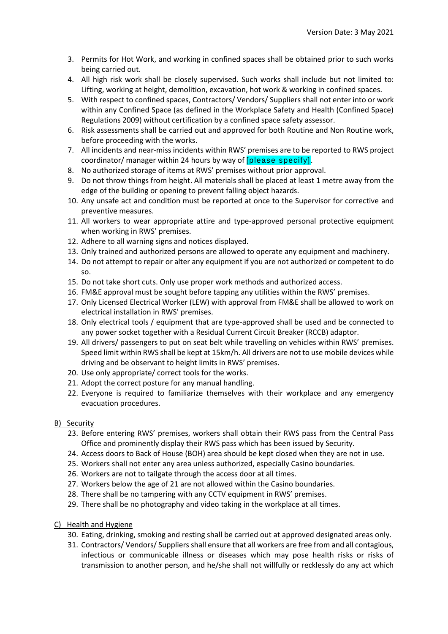- 3. Permits for Hot Work, and working in confined spaces shall be obtained prior to such works being carried out.
- 4. All high risk work shall be closely supervised. Such works shall include but not limited to: Lifting, working at height, demolition, excavation, hot work & working in confined spaces.
- 5. With respect to confined spaces, Contractors/ Vendors/ Suppliers shall not enter into or work within any Confined Space (as defined in the Workplace Safety and Health (Confined Space) Regulations 2009) without certification by a confined space safety assessor.
- 6. Risk assessments shall be carried out and approved for both Routine and Non Routine work, before proceeding with the works.
- 7. All incidents and near-miss incidents within RWS' premises are to be reported to RWS project coordinator/ manager within 24 hours by way of [please specify].
- 8. No authorized storage of items at RWS' premises without prior approval.
- 9. Do not throw things from height. All materials shall be placed at least 1 metre away from the edge of the building or opening to prevent falling object hazards.
- 10. Any unsafe act and condition must be reported at once to the Supervisor for corrective and preventive measures.
- 11. All workers to wear appropriate attire and type-approved personal protective equipment when working in RWS' premises.
- 12. Adhere to all warning signs and notices displayed.
- 13. Only trained and authorized persons are allowed to operate any equipment and machinery.
- 14. Do not attempt to repair or alter any equipment if you are not authorized or competent to do so.
- 15. Do not take short cuts. Only use proper work methods and authorized access.
- 16. FM&E approval must be sought before tapping any utilities within the RWS' premises.
- 17. Only Licensed Electrical Worker (LEW) with approval from FM&E shall be allowed to work on electrical installation in RWS' premises.
- 18. Only electrical tools / equipment that are type-approved shall be used and be connected to any power socket together with a Residual Current Circuit Breaker (RCCB) adaptor.
- 19. All drivers/ passengers to put on seat belt while travelling on vehicles within RWS' premises. Speed limit within RWS shall be kept at 15km/h. All drivers are not to use mobile devices while driving and be observant to height limits in RWS' premises.
- 20. Use only appropriate/ correct tools for the works.
- 21. Adopt the correct posture for any manual handling.
- 22. Everyone is required to familiarize themselves with their workplace and any emergency evacuation procedures.

### B) Security

- 23. Before entering RWS' premises, workers shall obtain their RWS pass from the Central Pass Office and prominently display their RWS pass which has been issued by Security.
- 24. Access doors to Back of House (BOH) area should be kept closed when they are not in use.
- 25. Workers shall not enter any area unless authorized, especially Casino boundaries.
- 26. Workers are not to tailgate through the access door at all times.
- 27. Workers below the age of 21 are not allowed within the Casino boundaries.
- 28. There shall be no tampering with any CCTV equipment in RWS' premises.
- 29. There shall be no photography and video taking in the workplace at all times.
- C) Health and Hygiene
	- 30. Eating, drinking, smoking and resting shall be carried out at approved designated areas only.
	- 31. Contractors/ Vendors/ Suppliers shall ensure that all workers are free from and all contagious, infectious or communicable illness or diseases which may pose health risks or risks of transmission to another person, and he/she shall not willfully or recklessly do any act which